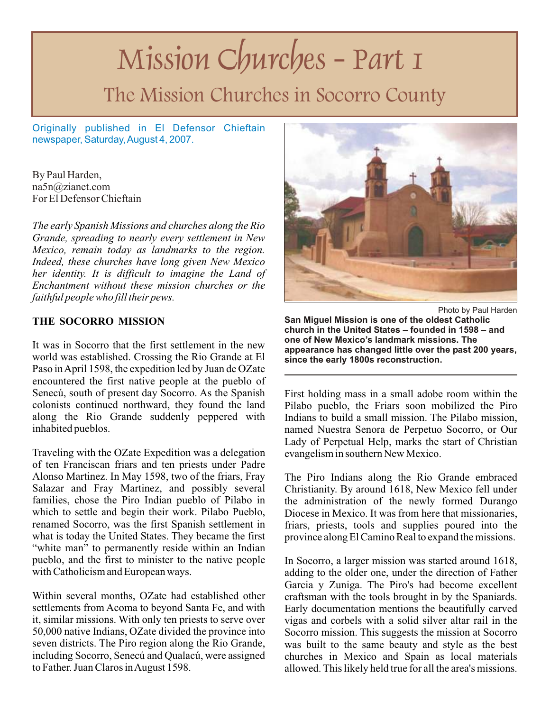# Mission Churches - Part I

# The Mission Churches in Socorro County

Originally published in El Defensor Chieftain newspaper, Saturday, August 4, 2007.

By Paul Harden, na5n@zianet.com For El Defensor Chieftain

*The early Spanish Missions and churches along the Rio Grande, spreading to nearly every settlement in New Mexico, remain today as landmarks to the region. Indeed, these churches have long given New Mexico her identity. It is difficult to imagine the Land of Enchantment without these mission churches or the faithful people who fill their pews.*

#### **THE SOCORRO MISSION**

It was in Socorro that the first settlement in the new world was established. Crossing the Rio Grande at El Paso in April 1598, the expedition led by Juan de OZate encountered the first native people at the pueblo of Senecú, south of present day Socorro. As the Spanish colonists continued northward, they found the land along the Rio Grande suddenly peppered with inhabited pueblos.

Traveling with the OZate Expedition was a delegation of ten Franciscan friars and ten priests under Padre Alonso Martinez. In May 1598, two of the friars, Fray Salazar and Fray Martinez, and possibly several families, chose the Piro Indian pueblo of Pilabo in which to settle and begin their work. Pilabo Pueblo, renamed Socorro, was the first Spanish settlement in what is today the United States. They became the first "white man" to permanently reside within an Indian pueblo, and the first to minister to the native people with Catholicism and European ways.

Within several months, OZate had established other settlements from Acoma to beyond Santa Fe, and with it, similar missions. With only ten priests to serve over 50,000 native Indians, OZate divided the province into seven districts. The Piro region along the Rio Grande, including Socorro, Senecú and Qualacú, were assigned to Father. Juan Claros in August 1598.



Photo by Paul Harden

**San Miguel Mission is one of the oldest Catholic church in the United States – founded in 1598 – and one of New Mexico's landmark missions. The appearance has changed little over the past 200 years, since the early 1800s reconstruction.**

First holding mass in a small adobe room within the Pilabo pueblo, the Friars soon mobilized the Piro Indians to build a small mission. The Pilabo mission, named Nuestra Senora de Perpetuo Socorro, or Our Lady of Perpetual Help, marks the start of Christian evangelism in southern New Mexico.

The Piro Indians along the Rio Grande embraced Christianity. By around 1618, New Mexico fell under the administration of the newly formed Durango Diocese in Mexico. It was from here that missionaries, friars, priests, tools and supplies poured into the province along El Camino Real to expand the missions.

In Socorro, a larger mission was started around 1618, adding to the older one, under the direction of Father Garcia y Zuniga. The Piro's had become excellent craftsman with the tools brought in by the Spaniards. Early documentation mentions the beautifully carved vigas and corbels with a solid silver altar rail in the Socorro mission. This suggests the mission at Socorro was built to the same beauty and style as the best churches in Mexico and Spain as local materials allowed. This likely held true for all the area's missions.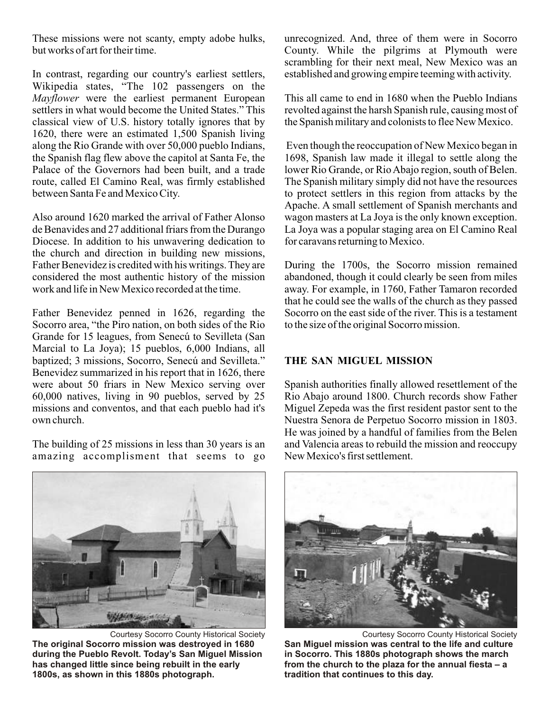These missions were not scanty, empty adobe hulks, but works of art for their time.

In contrast, regarding our country's earliest settlers, Wikipedia states, "The 102 passengers on the *Mayflower* were the earliest permanent European settlers in what would become the United States." This classical view of U.S. history totally ignores that by 1620, there were an estimated 1,500 Spanish living along the Rio Grande with over 50,000 pueblo Indians, the Spanish flag flew above the capitol at Santa Fe, the Palace of the Governors had been built, and a trade route, called El Camino Real, was firmly established between Santa Fe and Mexico City.

Also around 1620 marked the arrival of Father Alonso de Benavides and 27 additional friars from the Durango Diocese. In addition to his unwavering dedication to the church and direction in building new missions, Father Benevidez is credited with his writings. They are considered the most authentic history of the mission work and life in New Mexico recorded at the time.

Father Benevidez penned in 1626, regarding the Socorro area, "the Piro nation, on both sides of the Rio Grande for 15 leagues, from Senecú to Sevilleta (San Marcial to La Joya); 15 pueblos, 6,000 Indians, all baptized; 3 missions, Socorro, Senecú and Sevilleta." Benevidez summarized in his report that in 1626, there were about 50 friars in New Mexico serving over 60,000 natives, living in 90 pueblos, served by 25 missions and conventos, and that each pueblo had it's own church.

The building of 25 missions in less than 30 years is an amazing accomplisment that seems to go

Courtesy Socorro County Historical Society **The original Socorro mission was destroyed in 1680 during the Pueblo Revolt. Today's San Miguel Mission has changed little since being rebuilt in the early 1800s, as shown in this 1880s photograph.**

unrecognized. And, three of them were in Socorro County. While the pilgrims at Plymouth were scrambling for their next meal, New Mexico was an established and growing empire teeming with activity.

This all came to end in 1680 when the Pueblo Indians revolted against the harsh Spanish rule, causing most of the Spanish military and colonists to flee New Mexico.

 Even though the reoccupation of New Mexico began in 1698, Spanish law made it illegal to settle along the lower Rio Grande, or Rio Abajo region, south of Belen. The Spanish military simply did not have the resources to protect settlers in this region from attacks by the Apache. A small settlement of Spanish merchants and wagon masters at La Joya is the only known exception. La Joya was a popular staging area on El Camino Real for caravans returning to Mexico.

During the 1700s, the Socorro mission remained abandoned, though it could clearly be seen from miles away. For example, in 1760, Father Tamaron recorded that he could see the walls of the church as they passed Socorro on the east side of the river. This is a testament to the size of the original Socorro mission.

### **THE SAN MIGUEL MISSION**

Spanish authorities finally allowed resettlement of the Rio Abajo around 1800. Church records show Father Miguel Zepeda was the first resident pastor sent to the Nuestra Senora de Perpetuo Socorro mission in 1803. He was joined by a handful of families from the Belen and Valencia areas to rebuild the mission and reoccupy New Mexico's first settlement.



Courtesy Socorro County Historical Society **San Miguel mission was central to the life and culture in Socorro. This 1880s photograph shows the march from the church to the plaza for the annual fiesta – a tradition that continues to this day.**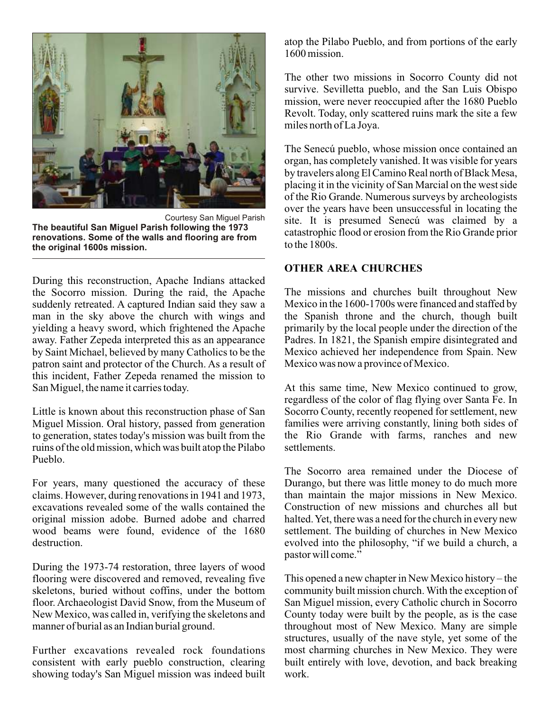

Courtesy San Miguel Parish **The beautiful San Miguel Parish following the 1973 renovations. Some of the walls and flooring are from the original 1600s mission.**

During this reconstruction, Apache Indians attacked the Socorro mission. During the raid, the Apache suddenly retreated. A captured Indian said they saw a man in the sky above the church with wings and yielding a heavy sword, which frightened the Apache away. Father Zepeda interpreted this as an appearance by Saint Michael, believed by many Catholics to be the patron saint and protector of the Church. As a result of this incident, Father Zepeda renamed the mission to San Miguel, the name it carries today.

Little is known about this reconstruction phase of San Miguel Mission. Oral history, passed from generation to generation, states today's mission was built from the ruins of the old mission, which was built atop the Pilabo Pueblo.

For years, many questioned the accuracy of these claims. However, during renovations in 1941 and 1973, excavations revealed some of the walls contained the original mission adobe. Burned adobe and charred wood beams were found, evidence of the 1680 destruction.

During the 1973-74 restoration, three layers of wood flooring were discovered and removed, revealing five skeletons, buried without coffins, under the bottom floor. Archaeologist David Snow, from the Museum of New Mexico, was called in, verifying the skeletons and manner of burial as an Indian burial ground.

Further excavations revealed rock foundations consistent with early pueblo construction, clearing showing today's San Miguel mission was indeed built atop the Pilabo Pueblo, and from portions of the early 1600 mission.

The other two missions in Socorro County did not survive. Sevilletta pueblo, and the San Luis Obispo mission, were never reoccupied after the 1680 Pueblo Revolt. Today, only scattered ruins mark the site a few miles north of La Joya.

The Senecú pueblo, whose mission once contained an organ, has completely vanished. It was visible for years by travelers along El Camino Real north of Black Mesa, placing it in the vicinity of San Marcial on the west side of the Rio Grande. Numerous surveys by archeologists over the years have been unsuccessful in locating the site. It is presumed Senecú was claimed by a catastrophic flood or erosion from the Rio Grande prior to the 1800s.

#### **OTHER AREA CHURCHES**

The missions and churches built throughout New Mexico in the 1600-1700s were financed and staffed by the Spanish throne and the church, though built primarily by the local people under the direction of the Padres. In 1821, the Spanish empire disintegrated and Mexico achieved her independence from Spain. New Mexico was now a province of Mexico.

At this same time, New Mexico continued to grow, regardless of the color of flag flying over Santa Fe. In Socorro County, recently reopened for settlement, new families were arriving constantly, lining both sides of the Rio Grande with farms, ranches and new settlements.

The Socorro area remained under the Diocese of Durango, but there was little money to do much more than maintain the major missions in New Mexico. Construction of new missions and churches all but halted. Yet, there was a need for the church in every new settlement. The building of churches in New Mexico evolved into the philosophy, "if we build a church, a pastor will come."

This opened a new chapter in New Mexico history – the community built mission church. With the exception of San Miguel mission, every Catholic church in Socorro County today were built by the people, as is the case throughout most of New Mexico. Many are simple structures, usually of the nave style, yet some of the most charming churches in New Mexico. They were built entirely with love, devotion, and back breaking work.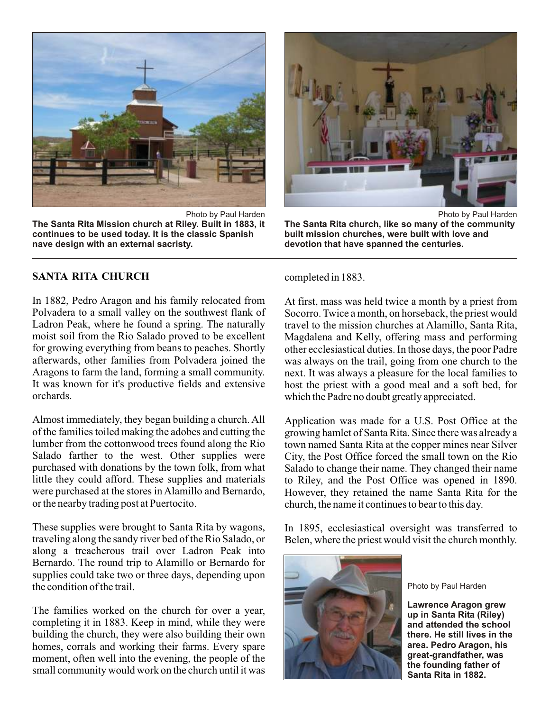

Photo by Paul Harden **The Santa Rita Mission church at Riley. Built in 1883, it continues to be used today. It is the classic Spanish nave design with an external sacristy.**

# **SANTA RITA CHURCH**

In 1882, Pedro Aragon and his family relocated from Polvadera to a small valley on the southwest flank of Ladron Peak, where he found a spring. The naturally moist soil from the Rio Salado proved to be excellent for growing everything from beans to peaches. Shortly afterwards, other families from Polvadera joined the Aragons to farm the land, forming a small community. It was known for it's productive fields and extensive orchards.

Almost immediately, they began building a church. All of the families toiled making the adobes and cutting the lumber from the cottonwood trees found along the Rio Salado farther to the west. Other supplies were purchased with donations by the town folk, from what little they could afford. These supplies and materials were purchased at the stores in Alamillo and Bernardo, or the nearby trading post at Puertocito.

These supplies were brought to Santa Rita by wagons, traveling along the sandy river bed of the Rio Salado, or along a treacherous trail over Ladron Peak into Bernardo. The round trip to Alamillo or Bernardo for supplies could take two or three days, depending upon the condition of the trail.

The families worked on the church for over a year, completing it in 1883. Keep in mind, while they were building the church, they were also building their own homes, corrals and working their farms. Every spare moment, often well into the evening, the people of the small community would work on the church until it was



Photo by Paul Harden **The Santa Rita church, like so many of the community built mission churches, were built with love and devotion that have spanned the centuries.**

completed in 1883.

At first, mass was held twice a month by a priest from Socorro. Twice a month, on horseback, the priest would travel to the mission churches at Alamillo, Santa Rita, Magdalena and Kelly, offering mass and performing other ecclesiastical duties. In those days, the poor Padre was always on the trail, going from one church to the next. It was always a pleasure for the local families to host the priest with a good meal and a soft bed, for which the Padre no doubt greatly appreciated.

Application was made for a U.S. Post Office at the growing hamlet of Santa Rita. Since there was already a town named Santa Rita at the copper mines near Silver City, the Post Office forced the small town on the Rio Salado to change their name. They changed their name to Riley, and the Post Office was opened in 1890. However, they retained the name Santa Rita for the church, the name it continues to bear to this day.

In 1895, ecclesiastical oversight was transferred to Belen, where the priest would visit the church monthly.



Photo by Paul Harden

**Lawrence Aragon grew up in Santa Rita (Riley) and attended the school there. He still lives in the area. Pedro Aragon, his great-grandfather, was the founding father of Santa Rita in 1882.**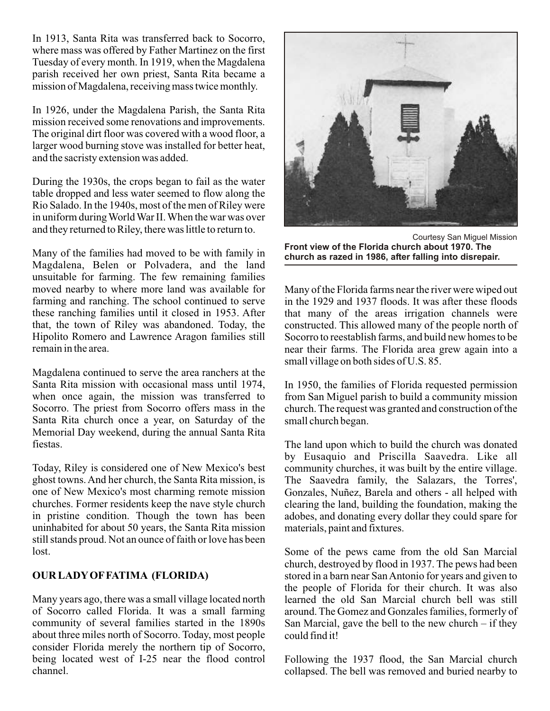In 1913, Santa Rita was transferred back to Socorro, where mass was offered by Father Martinez on the first Tuesday of every month. In 1919, when the Magdalena parish received her own priest, Santa Rita became a mission of Magdalena, receiving mass twice monthly.

In 1926, under the Magdalena Parish, the Santa Rita mission received some renovations and improvements. The original dirt floor was covered with a wood floor, a larger wood burning stove was installed for better heat, and the sacristy extension was added.

During the 1930s, the crops began to fail as the water table dropped and less water seemed to flow along the Rio Salado. In the 1940s, most of the men of Riley were in uniform during World War II. When the war was over and they returned to Riley, there was little to return to.

Many of the families had moved to be with family in Magdalena, Belen or Polvadera, and the land unsuitable for farming. The few remaining families moved nearby to where more land was available for farming and ranching. The school continued to serve these ranching families until it closed in 1953. After that, the town of Riley was abandoned. Today, the Hipolito Romero and Lawrence Aragon families still remain in the area.

Magdalena continued to serve the area ranchers at the Santa Rita mission with occasional mass until 1974, when once again, the mission was transferred to Socorro. The priest from Socorro offers mass in the Santa Rita church once a year, on Saturday of the Memorial Day weekend, during the annual Santa Rita fiestas.

Today, Riley is considered one of New Mexico's best ghost towns. And her church, the Santa Rita mission, is one of New Mexico's most charming remote mission churches. Former residents keep the nave style church in pristine condition. Though the town has been uninhabited for about 50 years, the Santa Rita mission still stands proud. Not an ounce of faith or love has been lost.

# **OUR LADY OF FATIMA (FLORIDA)**

Many years ago, there was a small village located north of Socorro called Florida. It was a small farming community of several families started in the 1890s about three miles north of Socorro. Today, most people consider Florida merely the northern tip of Socorro, being located west of I-25 near the flood control channel.



Courtesy San Miguel Mission **Front view of the Florida church about 1970. The church as razed in 1986, after falling into disrepair.**

Many of the Florida farms near the river were wiped out in the 1929 and 1937 floods. It was after these floods that many of the areas irrigation channels were constructed. This allowed many of the people north of Socorro to reestablish farms, and build new homes to be near their farms. The Florida area grew again into a small village on both sides of U.S. 85.

In 1950, the families of Florida requested permission from San Miguel parish to build a community mission church. The request was granted and construction of the small church began.

The land upon which to build the church was donated by Eusaquio and Priscilla Saavedra. Like all community churches, it was built by the entire village. The Saavedra family, the Salazars, the Torres', Gonzales, Nuñez, Barela and others - all helped with clearing the land, building the foundation, making the adobes, and donating every dollar they could spare for materials, paint and fixtures.

Some of the pews came from the old San Marcial church, destroyed by flood in 1937. The pews had been stored in a barn near San Antonio for years and given to the people of Florida for their church. It was also learned the old San Marcial church bell was still around. The Gomez and Gonzales families, formerly of San Marcial, gave the bell to the new church  $-$  if they could find it!

Following the 1937 flood, the San Marcial church collapsed. The bell was removed and buried nearby to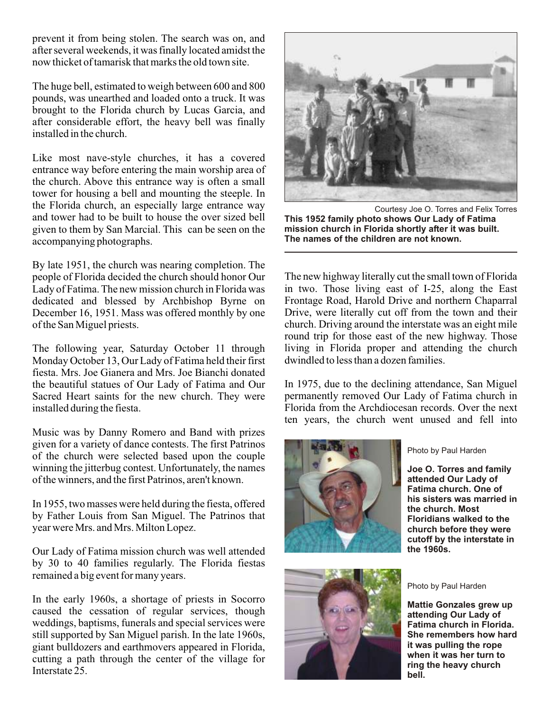prevent it from being stolen. The search was on, and after several weekends, it was finally located amidst the now thicket of tamarisk that marks the old town site.

The huge bell, estimated to weigh between 600 and 800 pounds, was unearthed and loaded onto a truck. It was brought to the Florida church by Lucas Garcia, and after considerable effort, the heavy bell was finally installed in the church.

Like most nave-style churches, it has a covered entrance way before entering the main worship area of the church. Above this entrance way is often a small tower for housing a bell and mounting the steeple. In the Florida church, an especially large entrance way and tower had to be built to house the over sized bell given to them by San Marcial. This can be seen on the accompanying photographs.

By late 1951, the church was nearing completion. The people of Florida decided the church should honor Our Lady of Fatima. The new mission church in Florida was dedicated and blessed by Archbishop Byrne on December 16, 1951. Mass was offered monthly by one of the San Miguel priests.

The following year, Saturday October 11 through Monday October 13, Our Lady of Fatima held their first fiesta. Mrs. Joe Gianera and Mrs. Joe Bianchi donated the beautiful statues of Our Lady of Fatima and Our Sacred Heart saints for the new church. They were installed during the fiesta.

Music was by Danny Romero and Band with prizes given for a variety of dance contests. The first Patrinos of the church were selected based upon the couple winning the jitterbug contest. Unfortunately, the names of the winners, and the first Patrinos, aren't known.

In 1955, two masses were held during the fiesta, offered by Father Louis from San Miguel. The Patrinos that year were Mrs. and Mrs. Milton Lopez.

Our Lady of Fatima mission church was well attended by 30 to 40 families regularly. The Florida fiestas remained a big event for many years.

In the early 1960s, a shortage of priests in Socorro caused the cessation of regular services, though weddings, baptisms, funerals and special services were still supported by San Miguel parish. In the late 1960s, giant bulldozers and earthmovers appeared in Florida, cutting a path through the center of the village for Interstate 25.



Courtesy Joe O. Torres and Felix Torres **This 1952 family photo shows Our Lady of Fatima mission church in Florida shortly after it was built. The names of the children are not known.**

The new highway literally cut the small town of Florida in two. Those living east of I-25, along the East Frontage Road, Harold Drive and northern Chaparral Drive, were literally cut off from the town and their church. Driving around the interstate was an eight mile round trip for those east of the new highway. Those living in Florida proper and attending the church dwindled to less than a dozen families.

In 1975, due to the declining attendance, San Miguel permanently removed Our Lady of Fatima church in Florida from the Archdiocesan records. Over the next ten years, the church went unused and fell into





Photo by Paul Harden

**Joe O. Torres and family attended Our Lady of Fatima church. One of his sisters was married in the church. Most Floridians walked to the church before they were cutoff by the interstate in the 1960s.**

Photo by Paul Harden

**Mattie Gonzales grew up attending Our Lady of Fatima church in Florida. She remembers how hard it was pulling the rope when it was her turn to ring the heavy church bell.**